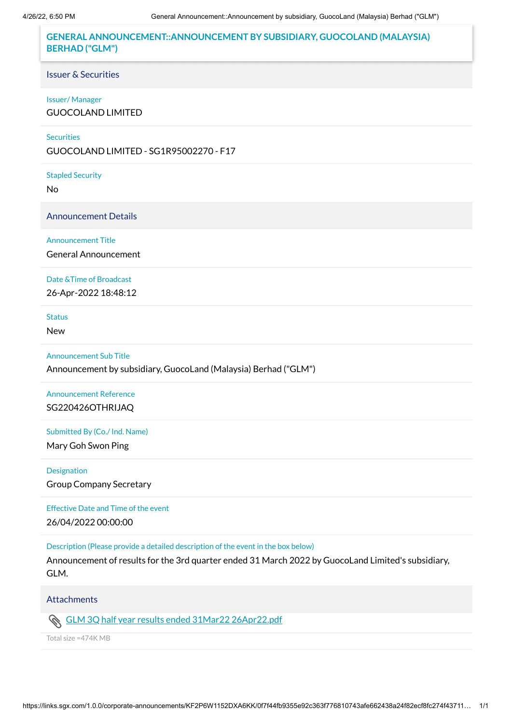# **GENERAL ANNOUNCEMENT::ANNOUNCEMENT BY SUBSIDIARY, GUOCOLAND (MALAYSIA) BERHAD ("GLM")**

#### Issuer & Securities

#### Issuer/ Manager

GUOCOLAND LIMITED

### **Securities**

GUOCOLAND LIMITED - SG1R95002270 - F17

#### Stapled Security

No

Announcement Details

### Announcement Title

General Announcement

### Date &Time of Broadcast

26-Apr-2022 18:48:12

### Status

New

### Announcement Sub Title

Announcement by subsidiary, GuocoLand (Malaysia) Berhad ("GLM")

# Announcement Reference SG220426OTHRIJAQ

### Submitted By (Co./ Ind. Name)

Mary Goh Swon Ping

#### Designation

Group Company Secretary

#### Effective Date and Time of the event

26/04/2022 00:00:00

#### Description (Please provide a detailed description of the event in the box below)

Announcement of results for the 3rd quarter ended 31 March 2022 by GuocoLand Limited's subsidiary, GLM.

## Attachments

Ø. GLM 3Q half year results ended 31Mar22 [26Apr22.pdf](https://links.sgx.com/1.0.0/corporate-announcements/KF2P6W1152DXA6KK/713994_GLM%203Q%20half%20year%20results%20ended%2031Mar22%2026Apr22.pdf)

Total size =474K MB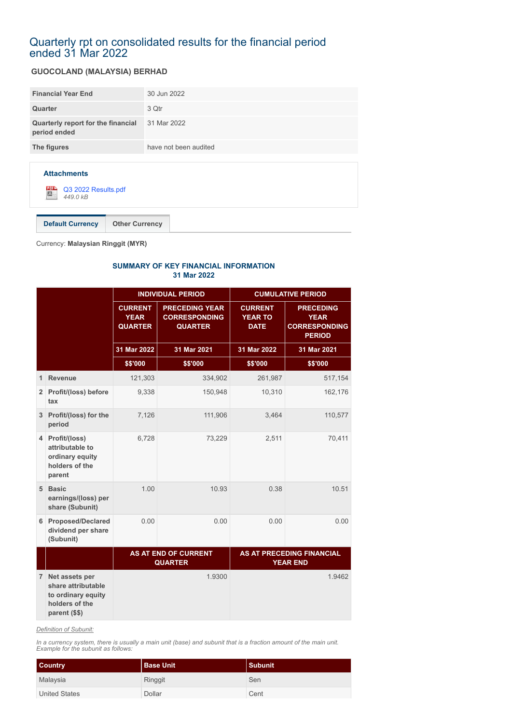# Quarterly rpt on consolidated results for the financial period ended 31 Mar 2022

# **GUOCOLAND (MALAYSIA) BERHAD**

| <b>Financial Year End</b>                          | 30 Jun 2022           |
|----------------------------------------------------|-----------------------|
| Quarter                                            | 3 Qtr                 |
| Quarterly report for the financial<br>period ended | 31 Mar 2022           |
| The figures                                        | have not been audited |
|                                                    |                       |
|                                                    |                       |



**Default Currency Other Currency**

Currency: **Malaysian Ringgit (MYR)**

#### **SUMMARY OF KEY FINANCIAL INFORMATION 31 Mar 2022**

|                |                                                                                                 |                                                 | <b>INDIVIDUAL PERIOD</b>                                        | <b>CUMULATIVE PERIOD</b>                        |                                                                          |  |
|----------------|-------------------------------------------------------------------------------------------------|-------------------------------------------------|-----------------------------------------------------------------|-------------------------------------------------|--------------------------------------------------------------------------|--|
|                |                                                                                                 | <b>CURRENT</b><br><b>YEAR</b><br><b>QUARTER</b> | <b>PRECEDING YEAR</b><br><b>CORRESPONDING</b><br><b>QUARTER</b> | <b>CURRENT</b><br><b>YEAR TO</b><br><b>DATE</b> | <b>PRECEDING</b><br><b>YEAR</b><br><b>CORRESPONDING</b><br><b>PERIOD</b> |  |
|                |                                                                                                 | 31 Mar 2022                                     | 31 Mar 2021                                                     | 31 Mar 2022                                     | 31 Mar 2021                                                              |  |
|                |                                                                                                 | \$\$'000                                        | \$\$'000                                                        | \$\$'000                                        | \$\$'000                                                                 |  |
| 1              | <b>Revenue</b>                                                                                  | 121,303                                         | 334,902                                                         | 261,987                                         | 517,154                                                                  |  |
|                | 2 Profit/(loss) before<br>tax                                                                   | 9,338                                           | 150,948                                                         | 10,310                                          | 162,176                                                                  |  |
|                | 3 Profit/(loss) for the<br>period                                                               | 7,126                                           | 111,906                                                         | 3,464                                           | 110,577                                                                  |  |
| $\overline{4}$ | Profit/(loss)<br>attributable to<br>ordinary equity<br>holders of the<br>parent                 | 6,728                                           | 73,229                                                          | 2,511                                           | 70,411                                                                   |  |
|                | 5 Basic<br>earnings/(loss) per<br>share (Subunit)                                               | 1.00                                            | 10.93                                                           | 0.38                                            | 10.51                                                                    |  |
| 6              | <b>Proposed/Declared</b><br>dividend per share<br>(Subunit)                                     | 0.00                                            | 0.00                                                            | 0.00                                            | 0.00                                                                     |  |
|                |                                                                                                 |                                                 | <b>AS AT END OF CURRENT</b><br><b>QUARTER</b>                   |                                                 | AS AT PRECEDING FINANCIAL<br><b>YEAR END</b>                             |  |
|                | 7 Net assets per<br>share attributable<br>to ordinary equity<br>holders of the<br>parent (\$\$) |                                                 | 1.9300                                                          |                                                 | 1.9462                                                                   |  |

*Definition of Subunit:*

*In a currency system, there is usually a main unit (base) and subunit that is a fraction amount of the main unit. Example for the subunit as follows:*

| <b>Country</b>       | <b>Base Unit</b> | Subunit |
|----------------------|------------------|---------|
| Malaysia             | Ringgit          | Sen     |
| <b>United States</b> | Dollar           | Cent    |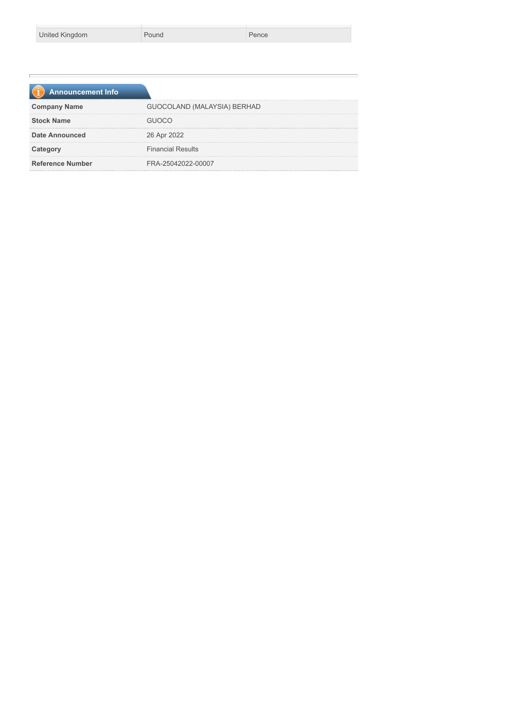| United Kingdom |
|----------------|
|----------------|

Pound Pence

| <b>Announcement Info</b> |                             |
|--------------------------|-----------------------------|
| <b>Company Name</b>      | GUOCOLAND (MALAYSIA) BERHAD |
| <b>Stock Name</b>        |                             |
| <b>Date Announced</b>    | 26 Apr 2022                 |
| Category                 | <b>Financial Results</b>    |
| <b>Reference Number</b>  | FRA-25042022-00007          |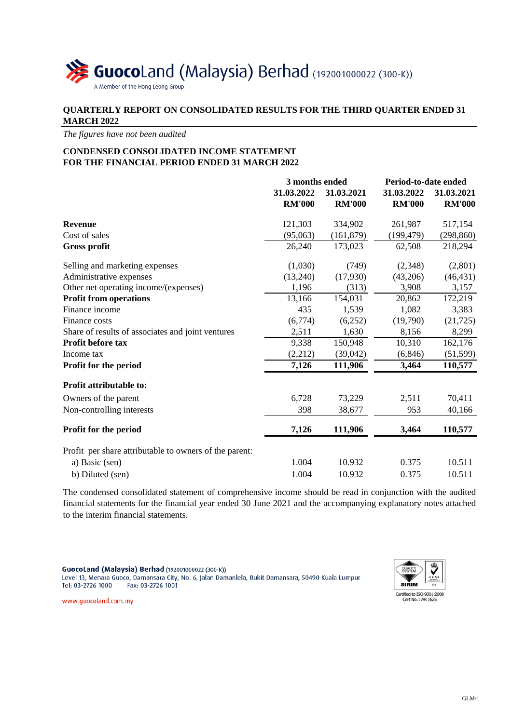

# **QUARTERLY REPORT ON CONSOLIDATED RESULTS FOR THE THIRD QUARTER ENDED 31 MARCH 2022**

*The figures have not been audited*

# **CONDENSED CONSOLIDATED INCOME STATEMENT FOR THE FINANCIAL PERIOD ENDED 31 MARCH 2022**

|                                                        | 3 months ended |               | Period-to-date ended |               |  |
|--------------------------------------------------------|----------------|---------------|----------------------|---------------|--|
|                                                        | 31.03.2022     | 31.03.2021    | 31.03.2022           | 31.03.2021    |  |
|                                                        | <b>RM'000</b>  | <b>RM'000</b> | <b>RM'000</b>        | <b>RM'000</b> |  |
| <b>Revenue</b>                                         | 121,303        | 334,902       | 261,987              | 517,154       |  |
| Cost of sales                                          | (95,063)       | (161, 879)    | (199, 479)           | (298, 860)    |  |
| <b>Gross profit</b>                                    | 26,240         | 173,023       | 62,508               | 218,294       |  |
| Selling and marketing expenses                         | (1,030)        | (749)         | (2,348)              | (2,801)       |  |
| Administrative expenses                                | (13,240)       | (17,930)      | (43,206)             | (46, 431)     |  |
| Other net operating income/(expenses)                  | 1,196          | (313)         | 3,908                | 3,157         |  |
| <b>Profit from operations</b>                          | 13,166         | 154,031       | 20,862               | 172,219       |  |
| Finance income                                         | 435            | 1,539         | 1,082                | 3,383         |  |
| Finance costs                                          | (6,774)        | (6,252)       | (19,790)             | (21, 725)     |  |
| Share of results of associates and joint ventures      | 2,511          | 1,630         | 8,156                | 8,299         |  |
| Profit before tax                                      | 9,338          | 150,948       | 10,310               | 162,176       |  |
| Income tax                                             | (2,212)        | (39,042)      | (6, 846)             | (51, 599)     |  |
| Profit for the period                                  | 7,126          | 111,906       | 3,464                | 110,577       |  |
| Profit attributable to:                                |                |               |                      |               |  |
| Owners of the parent                                   | 6,728          | 73,229        | 2,511                | 70,411        |  |
| Non-controlling interests                              | 398            | 38,677        | 953                  | 40,166        |  |
| Profit for the period                                  | 7,126          | 111,906       | 3,464                | 110,577       |  |
| Profit per share attributable to owners of the parent: |                |               |                      |               |  |
| a) Basic (sen)                                         | 1.004          | 10.932        | 0.375                | 10.511        |  |
| b) Diluted (sen)                                       | 1.004          | 10.932        | 0.375                | 10.511        |  |
|                                                        |                |               |                      |               |  |

The condensed consolidated statement of comprehensive income should be read in conjunction with the audited financial statements for the financial year ended 30 June 2021 and the accompanying explanatory notes attached to the interim financial statements.

GuocoLand (Malaysia) Berhad (192001000022 (300-K)) Level 13, Menara Guoco, Damansara City, No. 6, Jalan Damanlela, Bukit Damansara, 50490 Kuala Lumpur Tel: 03-2726 1000 Fax: 03-2726 1001



www.guocoland.com.my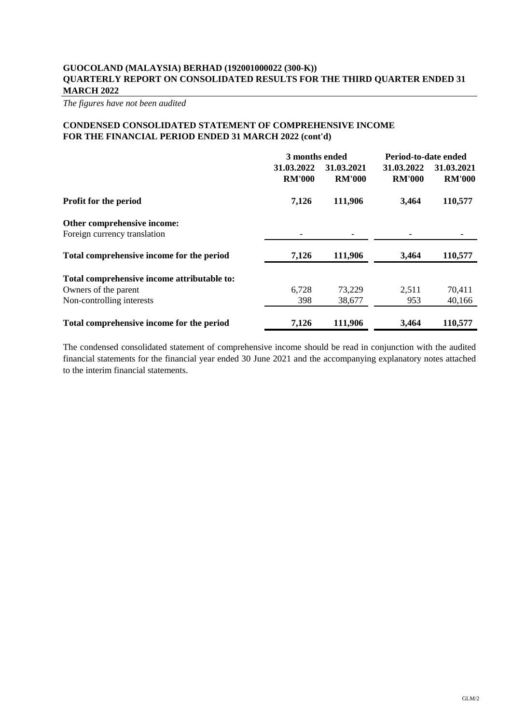*The figures have not been audited*

## **CONDENSED CONSOLIDATED STATEMENT OF COMPREHENSIVE INCOME FOR THE FINANCIAL PERIOD ENDED 31 MARCH 2022 (cont'd)**

|                                                             |                             | 3 months ended              |                             | Period-to-date ended        |
|-------------------------------------------------------------|-----------------------------|-----------------------------|-----------------------------|-----------------------------|
|                                                             | 31.03.2022<br><b>RM'000</b> | 31.03.2021<br><b>RM'000</b> | 31.03.2022<br><b>RM'000</b> | 31.03.2021<br><b>RM'000</b> |
| Profit for the period                                       | 7,126                       | 111,906                     | 3,464                       | 110,577                     |
| Other comprehensive income:<br>Foreign currency translation |                             |                             |                             |                             |
| Total comprehensive income for the period                   | 7,126                       | 111,906                     | 3,464                       | 110,577                     |
| Total comprehensive income attributable to:                 |                             |                             |                             |                             |
| Owners of the parent                                        | 6,728                       | 73,229                      | 2,511                       | 70,411                      |
| Non-controlling interests                                   | 398                         | 38,677                      | 953                         | 40,166                      |
| Total comprehensive income for the period                   | 7,126                       | 111,906                     | 3,464                       | 110,577                     |

The condensed consolidated statement of comprehensive income should be read in conjunction with the audited financial statements for the financial year ended 30 June 2021 and the accompanying explanatory notes attached to the interim financial statements.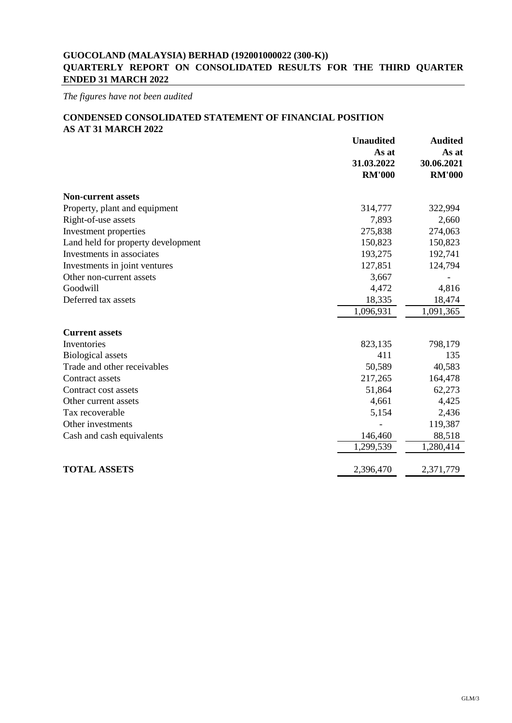*The figures have not been audited*

# **CONDENSED CONSOLIDATED STATEMENT OF FINANCIAL POSITION AS AT 31 MARCH 2022**

|                                    | <b>Unaudited</b><br>As at<br>31.03.2022<br><b>RM'000</b> | <b>Audited</b><br>As at<br>30.06.2021<br><b>RM'000</b> |
|------------------------------------|----------------------------------------------------------|--------------------------------------------------------|
| <b>Non-current assets</b>          |                                                          |                                                        |
| Property, plant and equipment      | 314,777                                                  | 322,994                                                |
| Right-of-use assets                | 7,893                                                    | 2,660                                                  |
| Investment properties              | 275,838                                                  | 274,063                                                |
| Land held for property development | 150,823                                                  | 150,823                                                |
| Investments in associates          | 193,275                                                  | 192,741                                                |
| Investments in joint ventures      | 127,851                                                  | 124,794                                                |
| Other non-current assets           | 3,667                                                    |                                                        |
| Goodwill                           | 4,472                                                    | 4,816                                                  |
| Deferred tax assets                | 18,335                                                   | 18,474                                                 |
|                                    | 1,096,931                                                | 1,091,365                                              |
| <b>Current assets</b>              |                                                          |                                                        |
| Inventories                        | 823,135                                                  | 798,179                                                |
| <b>Biological assets</b>           | 411                                                      | 135                                                    |
| Trade and other receivables        | 50,589                                                   | 40,583                                                 |
| Contract assets                    | 217,265                                                  | 164,478                                                |
| Contract cost assets               | 51,864                                                   | 62,273                                                 |
| Other current assets               | 4,661                                                    | 4,425                                                  |
| Tax recoverable                    | 5,154                                                    | 2,436                                                  |
| Other investments                  |                                                          | 119,387                                                |
| Cash and cash equivalents          | 146,460                                                  | 88,518                                                 |
|                                    | 1,299,539                                                | 1,280,414                                              |
| <b>TOTAL ASSETS</b>                | 2,396,470                                                | 2,371,779                                              |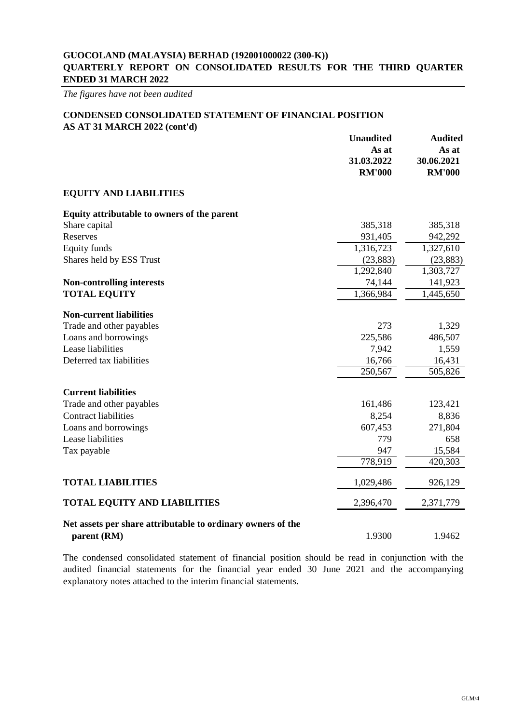*The figures have not been audited*

# **CONDENSED CONSOLIDATED STATEMENT OF FINANCIAL POSITION**

**AS AT 31 MARCH 2022 (cont'd)**

|                                                             | <b>Unaudited</b> | <b>Audited</b> |
|-------------------------------------------------------------|------------------|----------------|
|                                                             | As at            | As at          |
|                                                             | 31.03.2022       | 30.06.2021     |
|                                                             | <b>RM'000</b>    | <b>RM'000</b>  |
| <b>EQUITY AND LIABILITIES</b>                               |                  |                |
| Equity attributable to owners of the parent                 |                  |                |
| Share capital                                               | 385,318          | 385,318        |
| Reserves                                                    | 931,405          | 942,292        |
| <b>Equity funds</b>                                         | 1,316,723        | 1,327,610      |
| Shares held by ESS Trust                                    | (23, 883)        | (23, 883)      |
|                                                             | 1,292,840        | 1,303,727      |
| <b>Non-controlling interests</b>                            | 74,144           | 141,923        |
| <b>TOTAL EQUITY</b>                                         | 1,366,984        | 1,445,650      |
|                                                             |                  |                |
| <b>Non-current liabilities</b>                              |                  |                |
| Trade and other payables                                    | 273              | 1,329          |
| Loans and borrowings                                        | 225,586          | 486,507        |
| Lease liabilities                                           | 7,942            | 1,559          |
| Deferred tax liabilities                                    | 16,766           | 16,431         |
|                                                             | 250,567          | 505,826        |
| <b>Current liabilities</b>                                  |                  |                |
| Trade and other payables                                    | 161,486          | 123,421        |
| <b>Contract liabilities</b>                                 | 8,254            | 8,836          |
| Loans and borrowings                                        | 607,453          | 271,804        |
| Lease liabilities                                           | 779              | 658            |
| Tax payable                                                 | 947              | 15,584         |
|                                                             | 778,919          | 420,303        |
| <b>TOTAL LIABILITIES</b>                                    | 1,029,486        | 926,129        |
| <b>TOTAL EQUITY AND LIABILITIES</b>                         | 2,396,470        | 2,371,779      |
| Net assets per share attributable to ordinary owners of the |                  |                |
| parent (RM)                                                 | 1.9300           | 1.9462         |

The condensed consolidated statement of financial position should be read in conjunction with the audited financial statements for the financial year ended 30 June 2021 and the accompanying explanatory notes attached to the interim financial statements.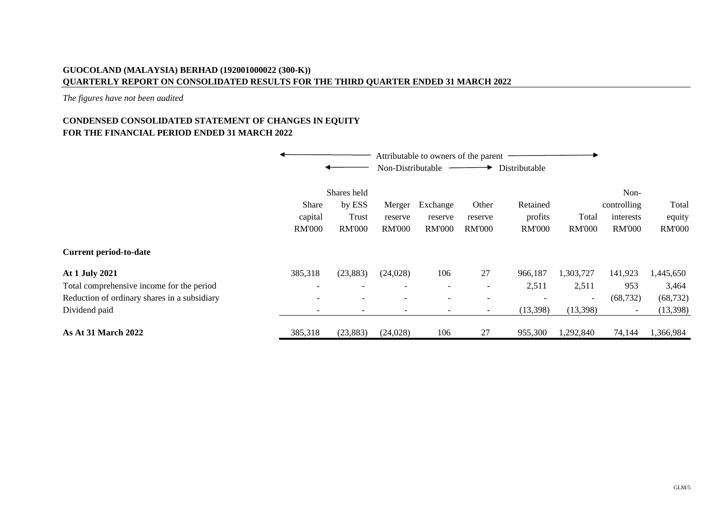*The figures have not been audited*

# **FOR THE FINANCIAL PERIOD ENDED 31 MARCH 2022 CONDENSED CONSOLIDATED STATEMENT OF CHANGES IN EQUITY**

|                                                                                                                              |                                                                                             |                                                 | Non-Distributable                                                | Attributable to owners of the parent                        |                                                            | Distributable                                            |                                                            |                                                         |                                             |
|------------------------------------------------------------------------------------------------------------------------------|---------------------------------------------------------------------------------------------|-------------------------------------------------|------------------------------------------------------------------|-------------------------------------------------------------|------------------------------------------------------------|----------------------------------------------------------|------------------------------------------------------------|---------------------------------------------------------|---------------------------------------------|
|                                                                                                                              | Share<br>capital<br><b>RM'000</b>                                                           | Shares held<br>by ESS<br>Trust<br><b>RM'000</b> | Merger<br>reserve<br><b>RM'000</b>                               | Exchange<br>reserve<br><b>RM'000</b>                        | Other<br>reserve<br><b>RM'000</b>                          | Retained<br>profits<br><b>RM'000</b>                     | Total<br><b>RM'000</b>                                     | Non-<br>controlling<br>interests<br><b>RM'000</b>       | Total<br>equity<br><b>RM'000</b>            |
| <b>Current period-to-date</b>                                                                                                |                                                                                             |                                                 |                                                                  |                                                             |                                                            |                                                          |                                                            |                                                         |                                             |
| At 1 July 2021<br>Total comprehensive income for the period<br>Reduction of ordinary shares in a subsidiary<br>Dividend paid | 385,318<br>$\overline{\phantom{0}}$<br>$\overline{\phantom{a}}$<br>$\overline{\phantom{a}}$ | (23, 883)                                       | (24,028)<br>$\overline{\phantom{0}}$<br>$\overline{\phantom{0}}$ | 106<br>$\overline{\phantom{a}}$<br>$\overline{\phantom{a}}$ | 27<br>$\overline{\phantom{a}}$<br>$\overline{\phantom{a}}$ | 966,187<br>2,511<br>$\overline{\phantom{a}}$<br>(13,398) | 1,303,727<br>2,511<br>$\overline{\phantom{a}}$<br>(13,398) | 141,923<br>953<br>(68, 732)<br>$\overline{\phantom{a}}$ | 1,445,650<br>3,464<br>(68, 732)<br>(13,398) |
| <b>As At 31 March 2022</b>                                                                                                   | 385,318                                                                                     | (23, 883)                                       | (24,028)                                                         | 106                                                         | 27                                                         | 955,300                                                  | 1,292,840                                                  | 74,144                                                  | 1,366,984                                   |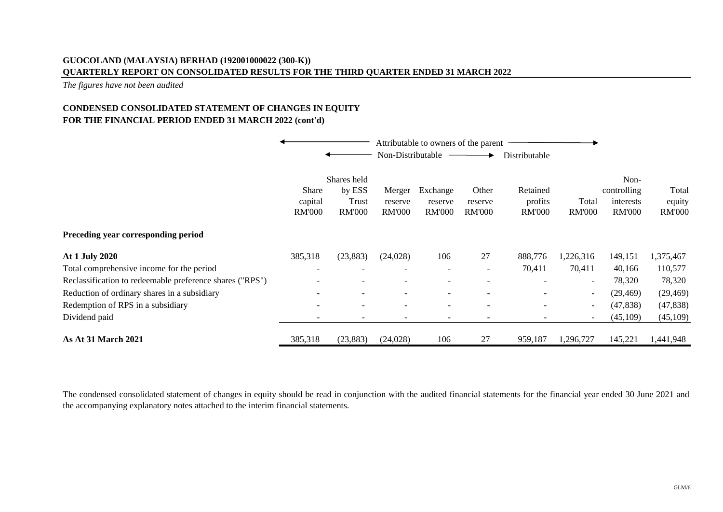*The figures have not been audited*

# **FOR THE FINANCIAL PERIOD ENDED 31 MARCH 2022 (cont'd) CONDENSED CONSOLIDATED STATEMENT OF CHANGES IN EQUITY**

|                                                          |                          |                                | Attributable to owners of the parent<br>Non-Distributable |                          |                  | Distributable            |                          |                                  |                 |
|----------------------------------------------------------|--------------------------|--------------------------------|-----------------------------------------------------------|--------------------------|------------------|--------------------------|--------------------------|----------------------------------|-----------------|
|                                                          | Share<br>capital         | Shares held<br>by ESS<br>Trust | Merger<br>reserve                                         | Exchange<br>reserve      | Other<br>reserve | Retained<br>profits      | Total                    | Non-<br>controlling<br>interests | Total<br>equity |
|                                                          | <b>RM'000</b>            | <b>RM'000</b>                  | <b>RM'000</b>                                             | <b>RM'000</b>            | <b>RM'000</b>    | <b>RM'000</b>            | <b>RM'000</b>            | <b>RM'000</b>                    | <b>RM'000</b>   |
| Preceding year corresponding period                      |                          |                                |                                                           |                          |                  |                          |                          |                                  |                 |
| <b>At 1 July 2020</b>                                    | 385,318                  | (23, 883)                      | (24,028)                                                  | 106                      | 27               | 888,776                  | 1,226,316                | 149,151                          | 1,375,467       |
| Total comprehensive income for the period                | $\overline{\phantom{a}}$ |                                | $\overline{\phantom{a}}$                                  | $\overline{\phantom{a}}$ |                  | 70,411                   | 70,411                   | 40,166                           | 110,577         |
| Reclassification to redeemable preference shares ("RPS") |                          |                                |                                                           |                          |                  |                          |                          | 78,320                           | 78,320          |
| Reduction of ordinary shares in a subsidiary             |                          |                                |                                                           |                          |                  |                          | $\overline{\phantom{a}}$ | (29, 469)                        | (29, 469)       |
| Redemption of RPS in a subsidiary                        | $\overline{\phantom{0}}$ |                                | $\overline{\phantom{a}}$                                  | $\overline{\phantom{a}}$ |                  | $\overline{\phantom{a}}$ | $\overline{\phantom{a}}$ | (47, 838)                        | (47, 838)       |
| Dividend paid                                            |                          |                                |                                                           | $\qquad \qquad$          |                  |                          | $\qquad \qquad$          | (45,109)                         | (45,109)        |
| <b>As At 31 March 2021</b>                               | 385,318                  | (23, 883)                      | (24, 028)                                                 | 106                      | 27               | 959,187                  | 1,296,727                | 145,221                          | 1,441,948       |

The condensed consolidated statement of changes in equity should be read in conjunction with the audited financial statements for the financial year ended 30 June 2021 and the accompanying explanatory notes attached to the interim financial statements.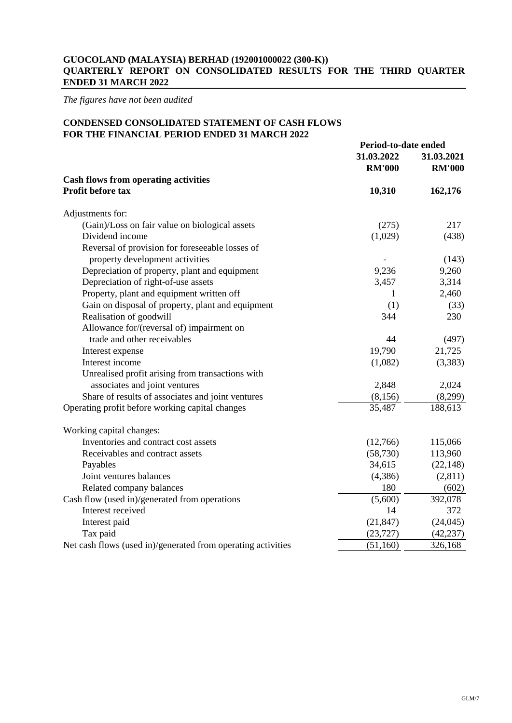*The figures have not been audited*

# **CONDENSED CONSOLIDATED STATEMENT OF CASH FLOWS FOR THE FINANCIAL PERIOD ENDED 31 MARCH 2022**

|                                                              | Period-to-date ended |               |
|--------------------------------------------------------------|----------------------|---------------|
|                                                              | 31.03.2022           | 31.03.2021    |
|                                                              | <b>RM'000</b>        | <b>RM'000</b> |
| <b>Cash flows from operating activities</b>                  |                      |               |
| Profit before tax                                            | 10,310               | 162,176       |
|                                                              |                      |               |
| Adjustments for:                                             |                      | 217           |
| (Gain)/Loss on fair value on biological assets               | (275)                |               |
| Dividend income                                              | (1,029)              | (438)         |
| Reversal of provision for foreseeable losses of              |                      |               |
| property development activities                              |                      | (143)         |
| Depreciation of property, plant and equipment                | 9,236                | 9,260         |
| Depreciation of right-of-use assets                          | 3,457                | 3,314         |
| Property, plant and equipment written off                    | 1                    | 2,460         |
| Gain on disposal of property, plant and equipment            | (1)                  | (33)          |
| Realisation of goodwill                                      | 344                  | 230           |
| Allowance for/(reversal of) impairment on                    |                      |               |
| trade and other receivables                                  | 44                   | (497)         |
| Interest expense                                             | 19,790               | 21,725        |
| Interest income                                              | (1,082)              | (3,383)       |
| Unrealised profit arising from transactions with             |                      |               |
| associates and joint ventures                                | 2,848                | 2,024         |
| Share of results of associates and joint ventures            | (8,156)              | (8,299)       |
| Operating profit before working capital changes              | 35,487               | 188,613       |
| Working capital changes:                                     |                      |               |
| Inventories and contract cost assets                         | (12,766)             | 115,066       |
| Receivables and contract assets                              | (58, 730)            | 113,960       |
| Payables                                                     | 34,615               | (22, 148)     |
| Joint ventures balances                                      | (4, 386)             | (2,811)       |
| Related company balances                                     | 180                  | (602)         |
| Cash flow (used in)/generated from operations                | (5,600)              | 392,078       |
| Interest received                                            | 14                   | 372           |
| Interest paid                                                | (21, 847)            | (24, 045)     |
| Tax paid                                                     | (23, 727)            | (42, 237)     |
| Net cash flows (used in)/generated from operating activities | (51, 160)            | 326,168       |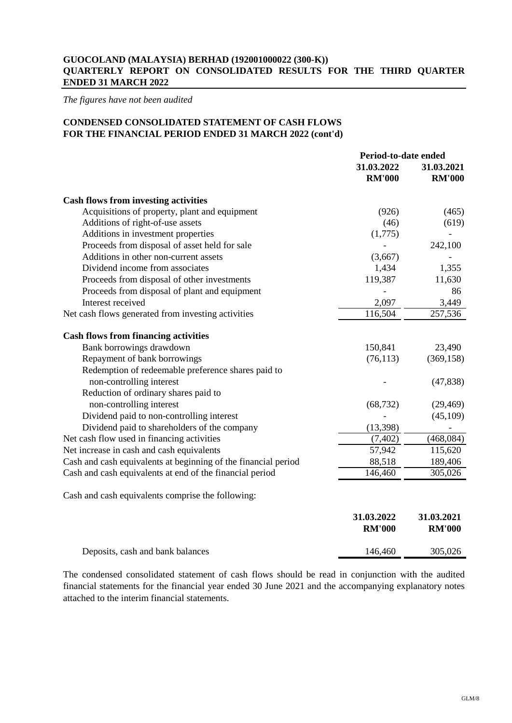*The figures have not been audited*

# **CONDENSED CONSOLIDATED STATEMENT OF CASH FLOWS FOR THE FINANCIAL PERIOD ENDED 31 MARCH 2022 (cont'd)**

|                                                                | Period-to-date ended        |                             |
|----------------------------------------------------------------|-----------------------------|-----------------------------|
|                                                                | 31.03.2022<br><b>RM'000</b> | 31.03.2021<br><b>RM'000</b> |
| <b>Cash flows from investing activities</b>                    |                             |                             |
| Acquisitions of property, plant and equipment                  | (926)                       | (465)                       |
| Additions of right-of-use assets                               | (46)                        | (619)                       |
| Additions in investment properties                             | (1,775)                     |                             |
| Proceeds from disposal of asset held for sale                  |                             | 242,100                     |
| Additions in other non-current assets                          | (3,667)                     |                             |
| Dividend income from associates                                | 1,434                       | 1,355                       |
| Proceeds from disposal of other investments                    | 119,387                     | 11,630                      |
| Proceeds from disposal of plant and equipment                  |                             | 86                          |
| Interest received                                              | 2,097                       | 3,449                       |
| Net cash flows generated from investing activities             | 116,504                     | 257,536                     |
| <b>Cash flows from financing activities</b>                    |                             |                             |
| Bank borrowings drawdown                                       | 150,841                     | 23,490                      |
| Repayment of bank borrowings                                   | (76, 113)                   | (369, 158)                  |
| Redemption of redeemable preference shares paid to             |                             |                             |
| non-controlling interest                                       |                             | (47, 838)                   |
| Reduction of ordinary shares paid to                           |                             |                             |
| non-controlling interest                                       | (68, 732)                   | (29, 469)                   |
| Dividend paid to non-controlling interest                      |                             | (45,109)                    |
| Dividend paid to shareholders of the company                   | (13, 398)                   |                             |
| Net cash flow used in financing activities                     | (7, 402)                    | (468, 084)                  |
| Net increase in cash and cash equivalents                      | 57,942                      | 115,620                     |
| Cash and cash equivalents at beginning of the financial period | 88,518                      | 189,406                     |
| Cash and cash equivalents at end of the financial period       | 146,460                     | 305,026                     |
| Cash and cash equivalents comprise the following:              |                             |                             |
|                                                                | 31.03.2022                  | 31.03.2021                  |
|                                                                | <b>RM'000</b>               | <b>RM'000</b>               |
| Deposits, cash and bank balances                               | 146,460                     | 305,026                     |

The condensed consolidated statement of cash flows should be read in conjunction with the audited financial statements for the financial year ended 30 June 2021 and the accompanying explanatory notes attached to the interim financial statements.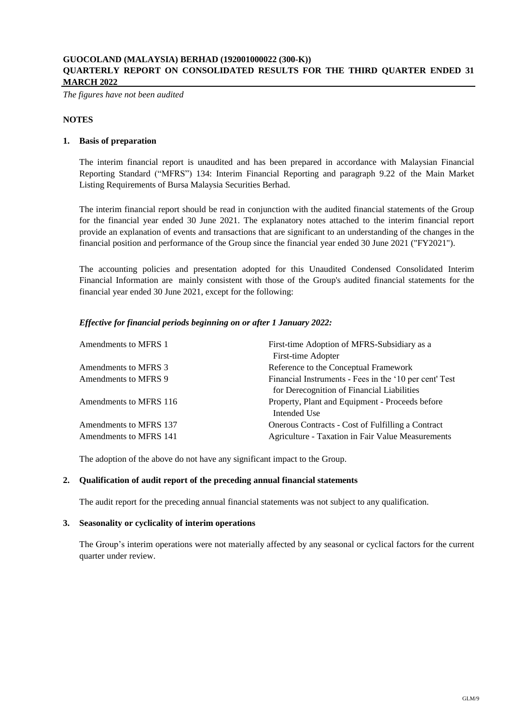*The figures have not been audited*

### **NOTES**

### **1. Basis of preparation**

The interim financial report is unaudited and has been prepared in accordance with Malaysian Financial Reporting Standard ("MFRS") 134: Interim Financial Reporting and paragraph 9.22 of the Main Market Listing Requirements of Bursa Malaysia Securities Berhad.

The interim financial report should be read in conjunction with the audited financial statements of the Group for the financial year ended 30 June 2021. The explanatory notes attached to the interim financial report provide an explanation of events and transactions that are significant to an understanding of the changes in the financial position and performance of the Group since the financial year ended 30 June 2021 ("FY2021").

The accounting policies and presentation adopted for this Unaudited Condensed Consolidated Interim Financial Information are mainly consistent with those of the Group's audited financial statements for the financial year ended 30 June 2021, except for the following:

### *Effective for financial periods beginning on or after 1 January 2022:*

| Amendments to MFRS 1   | First-time Adoption of MFRS-Subsidiary as a<br>First-time Adopter |
|------------------------|-------------------------------------------------------------------|
| Amendments to MFRS 3   | Reference to the Conceptual Framework                             |
| Amendments to MFRS 9   | Financial Instruments - Fees in the '10 per cent' Test            |
|                        | for Derecognition of Financial Liabilities                        |
| Amendments to MFRS 116 | Property, Plant and Equipment - Proceeds before                   |
|                        | Intended Use                                                      |
| Amendments to MFRS 137 | Onerous Contracts - Cost of Fulfilling a Contract                 |
| Amendments to MFRS 141 | Agriculture - Taxation in Fair Value Measurements                 |

The adoption of the above do not have any significant impact to the Group.

#### **2. Qualification of audit report of the preceding annual financial statements**

The audit report for the preceding annual financial statements was not subject to any qualification.

#### **3. Seasonality or cyclicality of interim operations**

The Group's interim operations were not materially affected by any seasonal or cyclical factors for the current quarter under review.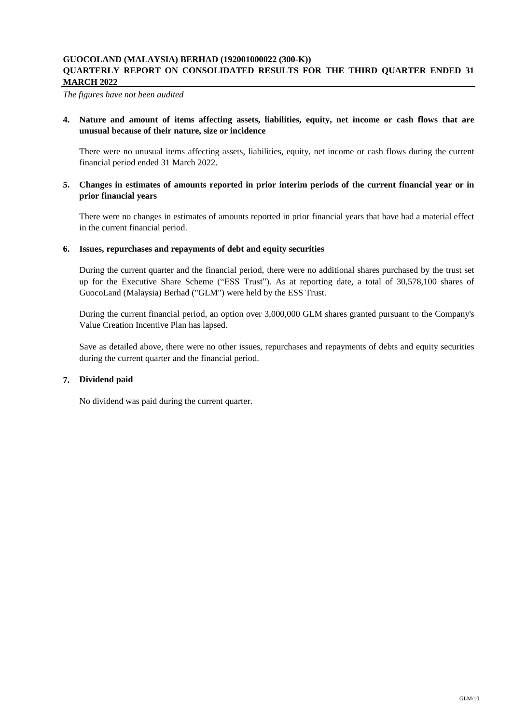*The figures have not been audited*

**4. Nature and amount of items affecting assets, liabilities, equity, net income or cash flows that are unusual because of their nature, size or incidence**

There were no unusual items affecting assets, liabilities, equity, net income or cash flows during the current financial period ended 31 March 2022.

### 5. Changes in estimates of amounts reported in prior interim periods of the current financial year or in **prior financial years**

There were no changes in estimates of amounts reported in prior financial years that have had a material effect in the current financial period.

### **6. Issues, repurchases and repayments of debt and equity securities**

During the current quarter and the financial period, there were no additional shares purchased by the trust set up for the Executive Share Scheme ("ESS Trust"). As at reporting date, a total of 30,578,100 shares of GuocoLand (Malaysia) Berhad ("GLM") were held by the ESS Trust.

During the current financial period, an option over 3,000,000 GLM shares granted pursuant to the Company's Value Creation Incentive Plan has lapsed.

Save as detailed above, there were no other issues, repurchases and repayments of debts and equity securities during the current quarter and the financial period.

### **7. Dividend paid**

No dividend was paid during the current quarter.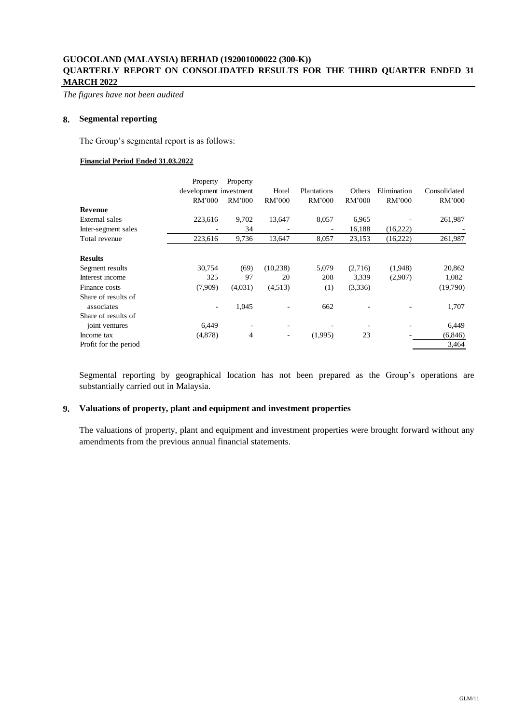*The figures have not been audited*

### **8. Segmental reporting**

The Group's segmental report is as follows:

#### **Financial Period Ended 31.03.2022**

|                       | Property                 | Property                 |                          |             |         |             |              |
|-----------------------|--------------------------|--------------------------|--------------------------|-------------|---------|-------------|--------------|
|                       | development investment   |                          | Hotel                    | Plantations | Others  | Elimination | Consolidated |
|                       | RM'000                   | RM'000                   | RM'000                   | RM'000      | RM'000  | RM'000      | RM'000       |
| <b>Revenue</b>        |                          |                          |                          |             |         |             |              |
| External sales        | 223,616                  | 9,702                    | 13,647                   | 8,057       | 6,965   |             | 261,987      |
| Inter-segment sales   |                          | 34                       |                          |             | 16,188  | (16,222)    |              |
| Total revenue         | 223,616                  | 9,736                    | 13,647                   | 8,057       | 23,153  | (16,222)    | 261,987      |
| <b>Results</b>        |                          |                          |                          |             |         |             |              |
| Segment results       | 30,754                   | (69)                     | (10,238)                 | 5,079       | (2,716) | (1,948)     | 20,862       |
| Interest income       | 325                      | 97                       | 20                       | 208         | 3,339   | (2,907)     | 1,082        |
| Finance costs         | (7,909)                  | (4,031)                  | (4,513)                  | (1)         | (3,336) |             | (19,790)     |
| Share of results of   |                          |                          |                          |             |         |             |              |
| associates            | $\overline{\phantom{a}}$ | 1,045                    |                          | 662         |         |             | 1,707        |
| Share of results of   |                          |                          |                          |             |         |             |              |
| joint ventures        | 6,449                    | $\overline{\phantom{a}}$ |                          |             |         |             | 6,449        |
| Income tax            | (4,878)                  | 4                        | $\overline{\phantom{a}}$ | (1,995)     | 23      |             | (6, 846)     |
| Profit for the period |                          |                          |                          |             |         |             | 3,464        |
|                       |                          |                          |                          |             |         |             |              |

Segmental reporting by geographical location has not been prepared as the Group's operations are substantially carried out in Malaysia.

### **9. Valuations of property, plant and equipment and investment properties**

The valuations of property, plant and equipment and investment properties were brought forward without any amendments from the previous annual financial statements.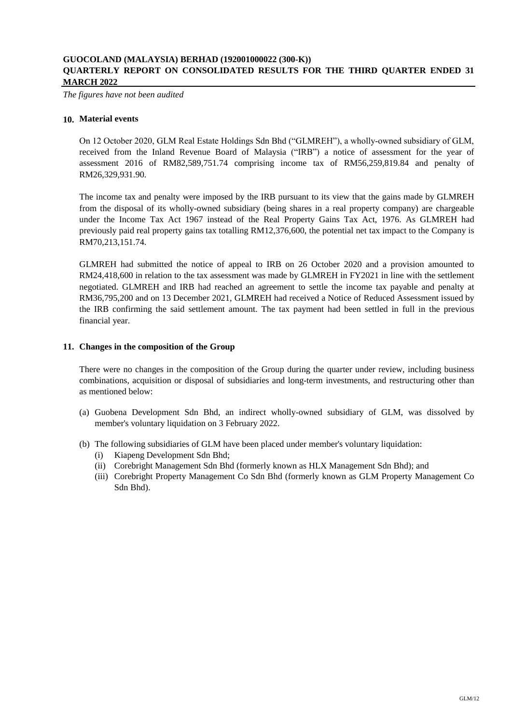*The figures have not been audited*

### **10. Material events**

On 12 October 2020, GLM Real Estate Holdings Sdn Bhd ("GLMREH"), a wholly-owned subsidiary of GLM, received from the Inland Revenue Board of Malaysia ("IRB") a notice of assessment for the year of assessment 2016 of RM82,589,751.74 comprising income tax of RM56,259,819.84 and penalty of RM26,329,931.90.

The income tax and penalty were imposed by the IRB pursuant to its view that the gains made by GLMREH from the disposal of its wholly-owned subsidiary (being shares in a real property company) are chargeable under the Income Tax Act 1967 instead of the Real Property Gains Tax Act, 1976. As GLMREH had previously paid real property gains tax totalling RM12,376,600, the potential net tax impact to the Company is RM70,213,151.74.

GLMREH had submitted the notice of appeal to IRB on 26 October 2020 and a provision amounted to RM24,418,600 in relation to the tax assessment was made by GLMREH in FY2021 in line with the settlement negotiated. GLMREH and IRB had reached an agreement to settle the income tax payable and penalty at RM36,795,200 and on 13 December 2021, GLMREH had received a Notice of Reduced Assessment issued by the IRB confirming the said settlement amount. The tax payment had been settled in full in the previous financial year.

### **11. Changes in the composition of the Group**

There were no changes in the composition of the Group during the quarter under review, including business combinations, acquisition or disposal of subsidiaries and long-term investments, and restructuring other than as mentioned below:

- (a) Guobena Development Sdn Bhd, an indirect wholly-owned subsidiary of GLM, was dissolved by member's voluntary liquidation on 3 February 2022.
- (b) The following subsidiaries of GLM have been placed under member's voluntary liquidation:
	- (i) Kiapeng Development Sdn Bhd;
	- (ii) Corebright Management Sdn Bhd (formerly known as HLX Management Sdn Bhd); and
	- (iii) Corebright Property Management Co Sdn Bhd (formerly known as GLM Property Management Co Sdn Bhd).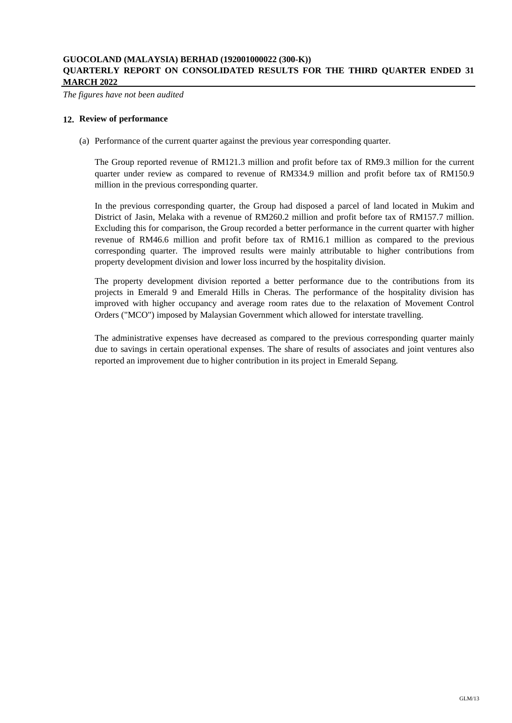*The figures have not been audited*

### **12. Review of performance**

(a) Performance of the current quarter against the previous year corresponding quarter.

The Group reported revenue of RM121.3 million and profit before tax of RM9.3 million for the current quarter under review as compared to revenue of RM334.9 million and profit before tax of RM150.9 million in the previous corresponding quarter.

In the previous corresponding quarter, the Group had disposed a parcel of land located in Mukim and District of Jasin, Melaka with a revenue of RM260.2 million and profit before tax of RM157.7 million. Excluding this for comparison, the Group recorded a better performance in the current quarter with higher revenue of RM46.6 million and profit before tax of RM16.1 million as compared to the previous corresponding quarter. The improved results were mainly attributable to higher contributions from property development division and lower loss incurred by the hospitality division.

The property development division reported a better performance due to the contributions from its projects in Emerald 9 and Emerald Hills in Cheras. The performance of the hospitality division has improved with higher occupancy and average room rates due to the relaxation of Movement Control Orders ("MCO") imposed by Malaysian Government which allowed for interstate travelling.

The administrative expenses have decreased as compared to the previous corresponding quarter mainly due to savings in certain operational expenses. The share of results of associates and joint ventures also reported an improvement due to higher contribution in its project in Emerald Sepang.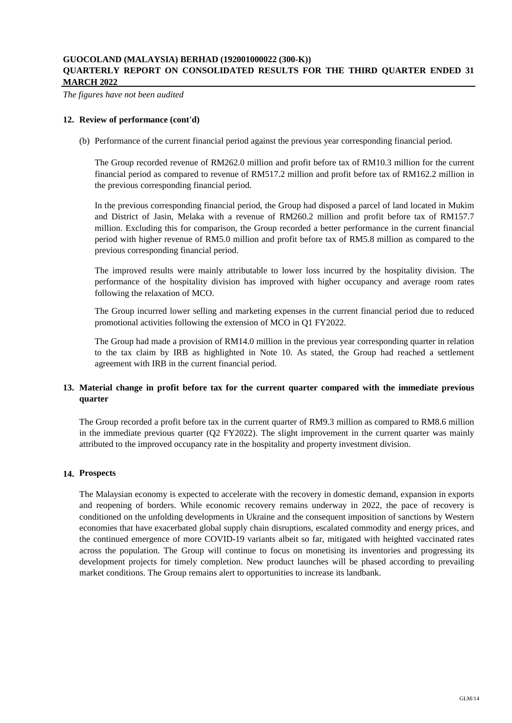*The figures have not been audited*

### **12. Review of performance (cont'd)**

(b) Performance of the current financial period against the previous year corresponding financial period.

The Group recorded revenue of RM262.0 million and profit before tax of RM10.3 million for the current financial period as compared to revenue of RM517.2 million and profit before tax of RM162.2 million in the previous corresponding financial period.

In the previous corresponding financial period, the Group had disposed a parcel of land located in Mukim and District of Jasin, Melaka with a revenue of RM260.2 million and profit before tax of RM157.7 million. Excluding this for comparison, the Group recorded a better performance in the current financial period with higher revenue of RM5.0 million and profit before tax of RM5.8 million as compared to the previous corresponding financial period.

The improved results were mainly attributable to lower loss incurred by the hospitality division. The performance of the hospitality division has improved with higher occupancy and average room rates following the relaxation of MCO.

The Group incurred lower selling and marketing expenses in the current financial period due to reduced promotional activities following the extension of MCO in Q1 FY2022.

The Group had made a provision of RM14.0 million in the previous year corresponding quarter in relation to the tax claim by IRB as highlighted in Note 10. As stated, the Group had reached a settlement agreement with IRB in the current financial period.

## **13. Material change in profit before tax for the current quarter compared with the immediate previous quarter**

The Group recorded a profit before tax in the current quarter of RM9.3 million as compared to RM8.6 million in the immediate previous quarter (Q2 FY2022). The slight improvement in the current quarter was mainly attributed to the improved occupancy rate in the hospitality and property investment division.

### **14. Prospects**

The Malaysian economy is expected to accelerate with the recovery in domestic demand, expansion in exports and reopening of borders. While economic recovery remains underway in 2022, the pace of recovery is conditioned on the unfolding developments in Ukraine and the consequent imposition of sanctions by Western economies that have exacerbated global supply chain disruptions, escalated commodity and energy prices, and the continued emergence of more COVID-19 variants albeit so far, mitigated with heighted vaccinated rates across the population. The Group will continue to focus on monetising its inventories and progressing its development projects for timely completion. New product launches will be phased according to prevailing market conditions. The Group remains alert to opportunities to increase its landbank.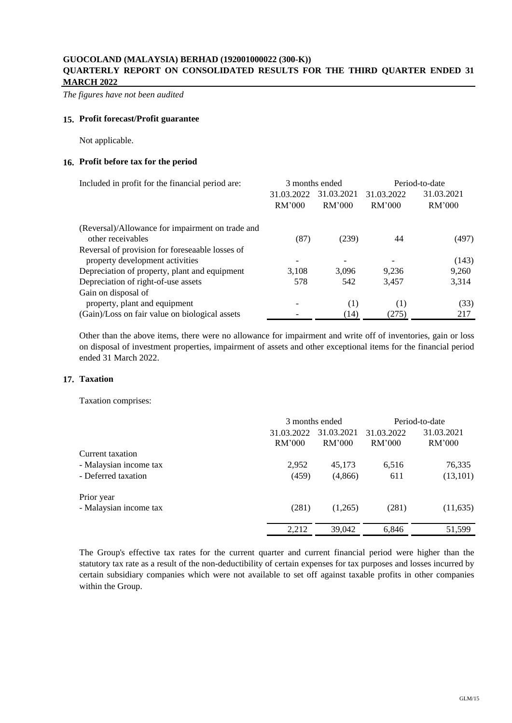*The figures have not been audited*

### **15. Profit forecast/Profit guarantee**

Not applicable.

### **16. Profit before tax for the period**

| Included in profit for the financial period are: |            | 3 months ended | Period-to-date |            |
|--------------------------------------------------|------------|----------------|----------------|------------|
|                                                  | 31.03.2022 | 31.03.2021     | 31.03.2022     | 31.03.2021 |
|                                                  | RM'000     | RM'000         | RM'000         | RM'000     |
| (Reversal)/Allowance for impairment on trade and |            |                |                |            |
| other receivables                                | (87)       | (239)          | 44             | (497)      |
| Reversal of provision for foreseaable losses of  |            |                |                |            |
| property development activities                  |            |                |                | (143)      |
| Depreciation of property, plant and equipment    | 3.108      | 3.096          | 9.236          | 9,260      |
| Depreciation of right-of-use assets              | 578        | 542            | 3.457          | 3,314      |
| Gain on disposal of                              |            |                |                |            |
| property, plant and equipment                    |            | (1)            | (1)            | (33)       |
| (Gain)/Loss on fair value on biological assets   |            | (14)           | (275)          | 217        |

Other than the above items, there were no allowance for impairment and write off of inventories, gain or loss on disposal of investment properties, impairment of assets and other exceptional items for the financial period ended 31 March 2022.

#### **17. Taxation**

Taxation comprises:

|                        | 3 months ended |            | Period-to-date |            |
|------------------------|----------------|------------|----------------|------------|
|                        | 31.03.2022     | 31.03.2021 | 31.03.2022     | 31.03.2021 |
|                        | RM'000         | RM'000     | RM'000         | RM'000     |
| Current taxation       |                |            |                |            |
| - Malaysian income tax | 2,952          | 45,173     | 6,516          | 76,335     |
| - Deferred taxation    | (459)          | (4, 866)   | 611            | (13, 101)  |
| Prior year             |                |            |                |            |
| - Malaysian income tax | (281)          | (1,265)    | (281)          | (11, 635)  |
|                        | 2,212          | 39,042     | 6.846          | 51,599     |

The Group's effective tax rates for the current quarter and current financial period were higher than the statutory tax rate as a result of the non-deductibility of certain expenses for tax purposes and losses incurred by certain subsidiary companies which were not available to set off against taxable profits in other companies within the Group.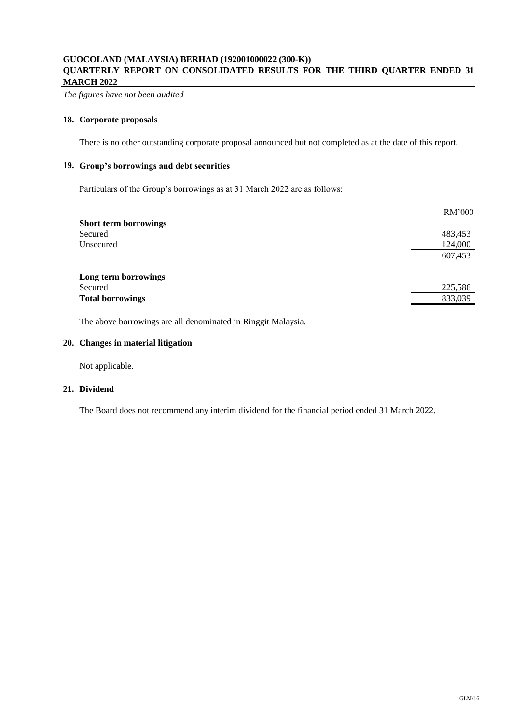*The figures have not been audited*

### **18. Corporate proposals**

There is no other outstanding corporate proposal announced but not completed as at the date of this report.

# **19. Group's borrowings and debt securities**

Particulars of the Group's borrowings as at 31 March 2022 are as follows:

| <b>Short term borrowings</b><br>Secured<br>Unsecured | RM'000  |
|------------------------------------------------------|---------|
|                                                      |         |
|                                                      | 483,453 |
|                                                      | 124,000 |
|                                                      | 607,453 |
| Long term borrowings                                 |         |
| Secured                                              | 225,586 |
| <b>Total borrowings</b>                              | 833,039 |

The above borrowings are all denominated in Ringgit Malaysia.

### **20. Changes in material litigation**

Not applicable.

### **21. Dividend**

The Board does not recommend any interim dividend for the financial period ended 31 March 2022.